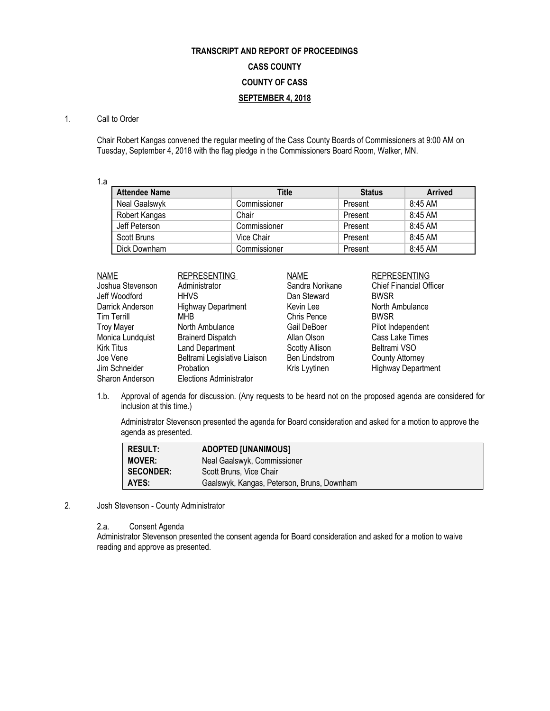# **TRANSCRIPT AND REPORT OF PROCEEDINGS CASS COUNTY COUNTY OF CASS SEPTEMBER 4, 2018**

## 1. Call to Order

Chair Robert Kangas convened the regular meeting of the Cass County Boards of Commissioners at 9:00 AM on Tuesday, September 4, 2018 with the flag pledge in the Commissioners Board Room, Walker, MN.

1.a

| <b>Attendee Name</b> | Title        | <b>Status</b> | <b>Arrived</b> |
|----------------------|--------------|---------------|----------------|
| Neal Gaalswyk        | Commissioner | Present       | 8:45 AM        |
| Robert Kangas        | Chair        | Present       | 8:45 AM        |
| Jeff Peterson        | Commissioner | Present       | 8:45 AM        |
| Scott Bruns          | Vice Chair   | Present       | 8:45 AM        |
| Dick Downham         | Commissioner | Present       | 8:45 AM        |

| <b>NAME</b>        | <b>REPRESENTING</b>            | <b>NAME</b>          | <b>REPRESENTING</b>            |
|--------------------|--------------------------------|----------------------|--------------------------------|
| Joshua Stevenson   | Administrator                  | Sandra Norikane      | <b>Chief Financial Officer</b> |
| Jeff Woodford      | <b>HHVS</b>                    | Dan Steward          | <b>BWSR</b>                    |
| Darrick Anderson   | <b>Highway Department</b>      | Kevin Lee            | North Ambulance                |
| <b>Tim Terrill</b> | <b>MHB</b>                     | Chris Pence          | <b>BWSR</b>                    |
| <b>Troy Mayer</b>  | North Ambulance                | Gail DeBoer          | Pilot Independent              |
| Monica Lundquist   | <b>Brainerd Dispatch</b>       | Allan Olson          | Cass Lake Times                |
| <b>Kirk Titus</b>  | Land Department                | Scotty Allison       | Beltrami VSO                   |
| Joe Vene           | Beltrami Legislative Liaison   | <b>Ben Lindstrom</b> | <b>County Attorney</b>         |
| Jim Schneider      | <b>Probation</b>               | Kris Lyytinen        | <b>Highway Department</b>      |
| Sharon Anderson    | <b>Elections Administrator</b> |                      |                                |

1.b. Approval of agenda for discussion. (Any requests to be heard not on the proposed agenda are considered for inclusion at this time.)

Administrator Stevenson presented the agenda for Board consideration and asked for a motion to approve the agenda as presented.

| <b>RESULT:</b>   | <b>ADOPTED [UNANIMOUS]</b>                 |
|------------------|--------------------------------------------|
| <b>MOVER:</b>    | Neal Gaalswyk, Commissioner                |
| <b>SECONDER:</b> | Scott Bruns, Vice Chair                    |
| AYES:            | Gaalswyk, Kangas, Peterson, Bruns, Downham |

2. Josh Stevenson - County Administrator

2.a. Consent Agenda

Administrator Stevenson presented the consent agenda for Board consideration and asked for a motion to waive reading and approve as presented.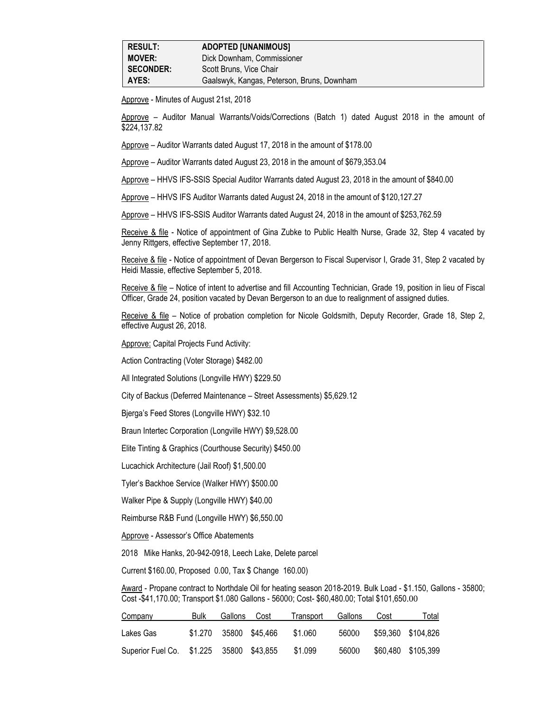Approve - Minutes of August 21st, 2018

Approve – Auditor Manual Warrants/Voids/Corrections (Batch 1) dated August 2018 in the amount of \$224,137.82

Approve – Auditor Warrants dated August 17, 2018 in the amount of \$178.00

Approve – Auditor Warrants dated August 23, 2018 in the amount of \$679,353.04

Approve – HHVS IFS-SSIS Special Auditor Warrants dated August 23, 2018 in the amount of \$840.00

Approve – HHVS IFS Auditor Warrants dated August 24, 2018 in the amount of \$120,127.27

Approve – HHVS IFS-SSIS Auditor Warrants dated August 24, 2018 in the amount of \$253,762.59

Receive & file - Notice of appointment of Gina Zubke to Public Health Nurse, Grade 32, Step 4 vacated by Jenny Rittgers, effective September 17, 2018.

Receive & file - Notice of appointment of Devan Bergerson to Fiscal Supervisor I, Grade 31, Step 2 vacated by Heidi Massie, effective September 5, 2018.

Receive & file – Notice of intent to advertise and fill Accounting Technician, Grade 19, position in lieu of Fiscal Officer, Grade 24, position vacated by Devan Bergerson to an due to realignment of assigned duties.

Receive & file – Notice of probation completion for Nicole Goldsmith, Deputy Recorder, Grade 18, Step 2, effective August 26, 2018.

Approve: Capital Projects Fund Activity:

Action Contracting (Voter Storage) \$482.00

All Integrated Solutions (Longville HWY) \$229.50

City of Backus (Deferred Maintenance – Street Assessments) \$5,629.12

Bjerga's Feed Stores (Longville HWY) \$32.10

Braun Intertec Corporation (Longville HWY) \$9,528.00

Elite Tinting & Graphics (Courthouse Security) \$450.00

Lucachick Architecture (Jail Roof) \$1,500.00

Tyler's Backhoe Service (Walker HWY) \$500.00

Walker Pipe & Supply (Longville HWY) \$40.00

Reimburse R&B Fund (Longville HWY) \$6,550.00

Approve - Assessor's Office Abatements

2018 Mike Hanks, 20-942-0918, Leech Lake, Delete parcel

Current \$160.00, Proposed 0.00, Tax \$ Change 160.00)

Award - Propane contract to Northdale Oil for heating season 2018-2019. Bulk Load - \$1.150, Gallons - 35800; Cost -\$41,170.00; Transport \$1.080 Gallons - 56000; Cost- \$60,480.00; Total \$101,650.00

| <b>Company</b>                           | Bulk | Gallons                | Cost | Transport | Gallons | Cost | Total              |
|------------------------------------------|------|------------------------|------|-----------|---------|------|--------------------|
| Lakes Gas                                |      | \$1,270 35800 \$45,466 |      | \$1.060   | 56000   |      | \$59,360 \$104,826 |
| Superior Fuel Co. \$1.225 35800 \$43,855 |      |                        |      | \$1.099   | 56000   |      | \$60,480 \$105,399 |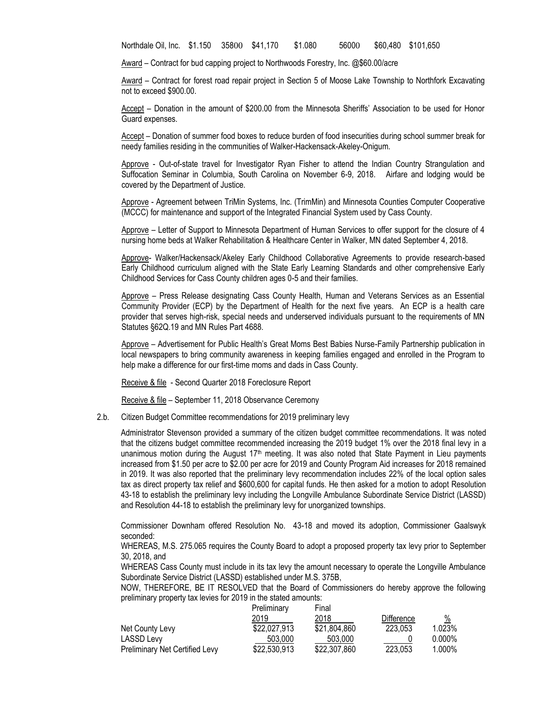Northdale Oil, Inc. \$1.150 35800 \$41,170 \$1.080 56000 \$60,480 \$101,650

Award – Contract for bud capping project to Northwoods Forestry, Inc. @\$60.00/acre

Award – Contract for forest road repair project in Section 5 of Moose Lake Township to Northfork Excavating not to exceed \$900.00.

Accept – Donation in the amount of \$200.00 from the Minnesota Sheriffs' Association to be used for Honor Guard expenses.

Accept - Donation of summer food boxes to reduce burden of food insecurities during school summer break for needy families residing in the communities of Walker-Hackensack-Akeley-Onigum.

Approve - Out-of-state travel for Investigator Ryan Fisher to attend the Indian Country Strangulation and Suffocation Seminar in Columbia, South Carolina on November 6-9, 2018. Airfare and lodging would be covered by the Department of Justice.

Approve - Agreement between TriMin Systems, Inc. (TrimMin) and Minnesota Counties Computer Cooperative (MCCC) for maintenance and support of the Integrated Financial System used by Cass County.

Approve – Letter of Support to Minnesota Department of Human Services to offer support for the closure of 4 nursing home beds at Walker Rehabilitation & Healthcare Center in Walker, MN dated September 4, 2018.

Approve- Walker/Hackensack/Akeley Early Childhood Collaborative Agreements to provide research-based Early Childhood curriculum aligned with the State Early Learning Standards and other comprehensive Early Childhood Services for Cass County children ages 0-5 and their families.

Approve – Press Release designating Cass County Health, Human and Veterans Services as an Essential Community Provider (ECP) by the Department of Health for the next five years. An ECP is a health care provider that serves high-risk, special needs and underserved individuals pursuant to the requirements of MN Statutes §62Q.19 and MN Rules Part 4688.

Approve – Advertisement for Public Health's Great Moms Best Babies Nurse-Family Partnership publication in local newspapers to bring community awareness in keeping families engaged and enrolled in the Program to help make a difference for our first-time moms and dads in Cass County.

Receive & file - Second Quarter 2018 Foreclosure Report

Receive & file – September 11, 2018 Observance Ceremony

2.b. Citizen Budget Committee recommendations for 2019 preliminary levy

Administrator Stevenson provided a summary of the citizen budget committee recommendations. It was noted that the citizens budget committee recommended increasing the 2019 budget 1% over the 2018 final levy in a unanimous motion during the August 17<sup>th</sup> meeting. It was also noted that State Payment in Lieu payments increased from \$1.50 per acre to \$2.00 per acre for 2019 and County Program Aid increases for 2018 remained in 2019. It was also reported that the preliminary levy recommendation includes 22% of the local option sales tax as direct property tax relief and \$600,600 for capital funds. He then asked for a motion to adopt Resolution 43-18 to establish the preliminary levy including the Longville Ambulance Subordinate Service District (LASSD) and Resolution 44-18 to establish the preliminary levy for unorganized townships.

Commissioner Downham offered Resolution No. 43-18 and moved its adoption, Commissioner Gaalswyk seconded:

WHEREAS, M.S. 275.065 requires the County Board to adopt a proposed property tax levy prior to September 30, 2018, and

WHEREAS Cass County must include in its tax levy the amount necessary to operate the Longville Ambulance Subordinate Service District (LASSD) established under M.S. 375B,

NOW, THEREFORE, BE IT RESOLVED that the Board of Commissioners do hereby approve the following preliminary property tax levies for 2019 in the stated amounts:

|                                       | Preliminary  | Final        |            |           |
|---------------------------------------|--------------|--------------|------------|-----------|
|                                       | 2019         | 2018         | Difference | %         |
| Net County Levy                       | \$22,027,913 | \$21,804,860 | 223.053    | 1.023%    |
| LASSD Levy                            | 503.000      | 503.000      |            | $0.000\%$ |
| <b>Preliminary Net Certified Levy</b> | \$22,530,913 | \$22,307,860 | 223.053    | 1.000%    |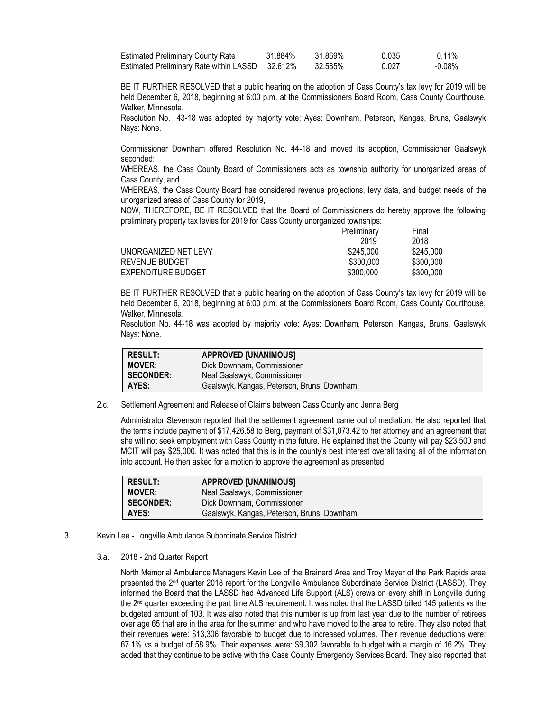| <b>Estimated Preliminary County Rate</b>        | 31.884% | 31.869% | 0.035 | $0.11\%$ |
|-------------------------------------------------|---------|---------|-------|----------|
| Estimated Preliminary Rate within LASSD 32.612% |         | 32.585% | 0.027 | -0.08%   |

BE IT FURTHER RESOLVED that a public hearing on the adoption of Cass County's tax levy for 2019 will be held December 6, 2018, beginning at 6:00 p.m. at the Commissioners Board Room, Cass County Courthouse, Walker, Minnesota.

Resolution No. 43-18 was adopted by majority vote: Ayes: Downham, Peterson, Kangas, Bruns, Gaalswyk Nays: None.

Commissioner Downham offered Resolution No. 44-18 and moved its adoption, Commissioner Gaalswyk seconded:

WHEREAS, the Cass County Board of Commissioners acts as township authority for unorganized areas of Cass County, and

WHEREAS, the Cass County Board has considered revenue projections, levy data, and budget needs of the unorganized areas of Cass County for 2019,

NOW, THEREFORE, BE IT RESOLVED that the Board of Commissioners do hereby approve the following preliminary property tax levies for 2019 for Cass County unorganized townships:

|                      | Preliminary | Final     |
|----------------------|-------------|-----------|
|                      | 2019        | 2018      |
| UNORGANIZED NET LEVY | \$245.000   | \$245,000 |
| REVENUE BUDGET       | \$300,000   | \$300,000 |
| EXPENDITURE BUDGET   | \$300,000   | \$300,000 |

BE IT FURTHER RESOLVED that a public hearing on the adoption of Cass County's tax levy for 2019 will be held December 6, 2018, beginning at 6:00 p.m. at the Commissioners Board Room, Cass County Courthouse, Walker, Minnesota.

Resolution No. 44-18 was adopted by majority vote: Ayes: Downham, Peterson, Kangas, Bruns, Gaalswyk Nays: None.

| result:          | <b>APPROVED [UNANIMOUS]</b>                |
|------------------|--------------------------------------------|
| <b>MOVER:</b>    | Dick Downham, Commissioner                 |
| <b>SECONDER:</b> | Neal Gaalswyk, Commissioner                |
| AYES:            | Gaalswyk, Kangas, Peterson, Bruns, Downham |

2.c. Settlement Agreement and Release of Claims between Cass County and Jenna Berg

Administrator Stevenson reported that the settlement agreement came out of mediation. He also reported that the terms include payment of \$17,426.58 to Berg, payment of \$31,073.42 to her attorney and an agreement that she will not seek employment with Cass County in the future. He explained that the County will pay \$23,500 and MCIT will pay \$25,000. It was noted that this is in the county's best interest overall taking all of the information into account. He then asked for a motion to approve the agreement as presented.

| <b>RESULT:</b>   | <b>APPROVED [UNANIMOUS]</b>                |
|------------------|--------------------------------------------|
| <b>MOVER:</b>    | Neal Gaalswyk, Commissioner                |
| <b>SECONDER:</b> | Dick Downham, Commissioner                 |
| AYES:            | Gaalswyk, Kangas, Peterson, Bruns, Downham |

- 3. Kevin Lee Longville Ambulance Subordinate Service District
	- 3.a. 2018 2nd Quarter Report

North Memorial Ambulance Managers Kevin Lee of the Brainerd Area and Troy Mayer of the Park Rapids area presented the 2<sup>nd</sup> quarter 2018 report for the Longville Ambulance Subordinate Service District (LASSD). They informed the Board that the LASSD had Advanced Life Support (ALS) crews on every shift in Longville during the 2nd quarter exceeding the part time ALS requirement. It was noted that the LASSD billed 145 patients vs the budgeted amount of 103. It was also noted that this number is up from last year due to the number of retirees over age 65 that are in the area for the summer and who have moved to the area to retire. They also noted that their revenues were: \$13,306 favorable to budget due to increased volumes. Their revenue deductions were: 67.1% vs a budget of 58.9%. Their expenses were: \$9,302 favorable to budget with a margin of 16.2%. They added that they continue to be active with the Cass County Emergency Services Board. They also reported that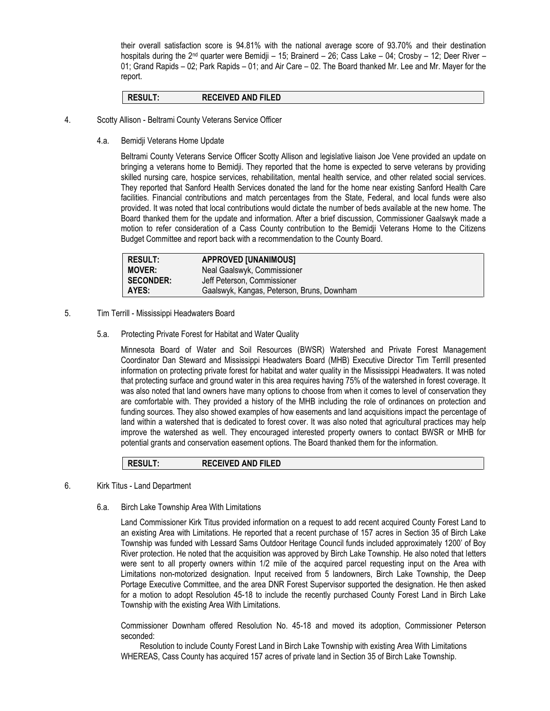their overall satisfaction score is 94.81% with the national average score of 93.70% and their destination hospitals during the  $2nd$  quarter were Bemidji – 15; Brainerd – 26; Cass Lake – 04; Crosby – 12; Deer River – 01; Grand Rapids – 02; Park Rapids – 01; and Air Care – 02. The Board thanked Mr. Lee and Mr. Mayer for the report.

#### **RESULT: RECEIVED AND FILED**

- 4. Scotty Allison Beltrami County Veterans Service Officer
	- 4.a. Bemidji Veterans Home Update

Beltrami County Veterans Service Officer Scotty Allison and legislative liaison Joe Vene provided an update on bringing a veterans home to Bemidji. They reported that the home is expected to serve veterans by providing skilled nursing care, hospice services, rehabilitation, mental health service, and other related social services. They reported that Sanford Health Services donated the land for the home near existing Sanford Health Care facilities. Financial contributions and match percentages from the State, Federal, and local funds were also provided. It was noted that local contributions would dictate the number of beds available at the new home. The Board thanked them for the update and information. After a brief discussion, Commissioner Gaalswyk made a motion to refer consideration of a Cass County contribution to the Bemidji Veterans Home to the Citizens Budget Committee and report back with a recommendation to the County Board.

| <b>RESULT:</b>   | <b>APPROVED [UNANIMOUS]</b>                |
|------------------|--------------------------------------------|
| <b>MOVER:</b>    | Neal Gaalswyk, Commissioner                |
| <b>SECONDER:</b> | Jeff Peterson, Commissioner                |
| AYES:            | Gaalswyk, Kangas, Peterson, Bruns, Downham |

- 5. Tim Terrill Mississippi Headwaters Board
	- 5.a. Protecting Private Forest for Habitat and Water Quality

Minnesota Board of Water and Soil Resources (BWSR) Watershed and Private Forest Management Coordinator Dan Steward and Mississippi Headwaters Board (MHB) Executive Director Tim Terrill presented information on protecting private forest for habitat and water quality in the Mississippi Headwaters. It was noted that protecting surface and ground water in this area requires having 75% of the watershed in forest coverage. It was also noted that land owners have many options to choose from when it comes to level of conservation they are comfortable with. They provided a history of the MHB including the role of ordinances on protection and funding sources. They also showed examples of how easements and land acquisitions impact the percentage of land within a watershed that is dedicated to forest cover. It was also noted that agricultural practices may help improve the watershed as well. They encouraged interested property owners to contact BWSR or MHB for potential grants and conservation easement options. The Board thanked them for the information.

### **RESULT: RECEIVED AND FILED**

- 6. Kirk Titus Land Department
	- 6.a. Birch Lake Township Area With Limitations

Land Commissioner Kirk Titus provided information on a request to add recent acquired County Forest Land to an existing Area with Limitations. He reported that a recent purchase of 157 acres in Section 35 of Birch Lake Township was funded with Lessard Sams Outdoor Heritage Council funds included approximately 1200' of Boy River protection. He noted that the acquisition was approved by Birch Lake Township. He also noted that letters were sent to all property owners within 1/2 mile of the acquired parcel requesting input on the Area with Limitations non-motorized designation. Input received from 5 landowners, Birch Lake Township, the Deep Portage Executive Committee, and the area DNR Forest Supervisor supported the designation. He then asked for a motion to adopt Resolution 45-18 to include the recently purchased County Forest Land in Birch Lake Township with the existing Area With Limitations.

Commissioner Downham offered Resolution No. 45-18 and moved its adoption, Commissioner Peterson seconded:

Resolution to include County Forest Land in Birch Lake Township with existing Area With Limitations WHEREAS, Cass County has acquired 157 acres of private land in Section 35 of Birch Lake Township.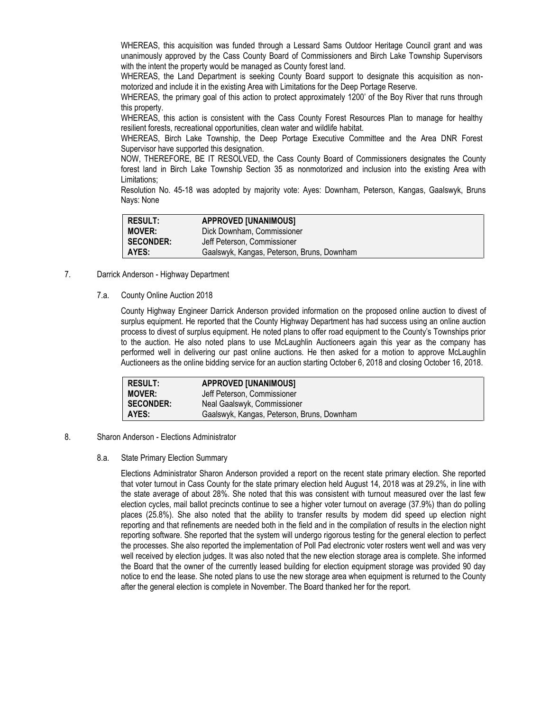WHEREAS, this acquisition was funded through a Lessard Sams Outdoor Heritage Council grant and was unanimously approved by the Cass County Board of Commissioners and Birch Lake Township Supervisors with the intent the property would be managed as County forest land.

WHEREAS, the Land Department is seeking County Board support to designate this acquisition as nonmotorized and include it in the existing Area with Limitations for the Deep Portage Reserve.

WHEREAS, the primary goal of this action to protect approximately 1200' of the Boy River that runs through this property.

WHEREAS, this action is consistent with the Cass County Forest Resources Plan to manage for healthy resilient forests, recreational opportunities, clean water and wildlife habitat.

WHEREAS, Birch Lake Township, the Deep Portage Executive Committee and the Area DNR Forest Supervisor have supported this designation.

NOW, THEREFORE, BE IT RESOLVED, the Cass County Board of Commissioners designates the County forest land in Birch Lake Township Section 35 as nonmotorized and inclusion into the existing Area with Limitations;

Resolution No. 45-18 was adopted by majority vote: Ayes: Downham, Peterson, Kangas, Gaalswyk, Bruns Nays: None

| <b>RESULT:</b>   | <b>APPROVED [UNANIMOUS]</b>                |
|------------------|--------------------------------------------|
| <b>MOVER:</b>    | Dick Downham, Commissioner                 |
| <b>SECONDER:</b> | Jeff Peterson, Commissioner                |
| AYES:            | Gaalswyk, Kangas, Peterson, Bruns, Downham |

- 7. Darrick Anderson Highway Department
	- 7.a. County Online Auction 2018

County Highway Engineer Darrick Anderson provided information on the proposed online auction to divest of surplus equipment. He reported that the County Highway Department has had success using an online auction process to divest of surplus equipment. He noted plans to offer road equipment to the County's Townships prior to the auction. He also noted plans to use McLaughlin Auctioneers again this year as the company has performed well in delivering our past online auctions. He then asked for a motion to approve McLaughlin Auctioneers as the online bidding service for an auction starting October 6, 2018 and closing October 16, 2018.

| <b>RESULT:</b>   | <b>APPROVED [UNANIMOUS]</b>                |
|------------------|--------------------------------------------|
| <b>MOVER:</b>    | Jeff Peterson, Commissioner                |
| <b>SECONDER:</b> | Neal Gaalswyk, Commissioner                |
| AYES:            | Gaalswyk, Kangas, Peterson, Bruns, Downham |

### 8. Sharon Anderson - Elections Administrator

### 8.a. State Primary Election Summary

Elections Administrator Sharon Anderson provided a report on the recent state primary election. She reported that voter turnout in Cass County for the state primary election held August 14, 2018 was at 29.2%, in line with the state average of about 28%. She noted that this was consistent with turnout measured over the last few election cycles, mail ballot precincts continue to see a higher voter turnout on average (37.9%) than do polling places (25.8%). She also noted that the ability to transfer results by modem did speed up election night reporting and that refinements are needed both in the field and in the compilation of results in the election night reporting software. She reported that the system will undergo rigorous testing for the general election to perfect the processes. She also reported the implementation of Poll Pad electronic voter rosters went well and was very well received by election judges. It was also noted that the new election storage area is complete. She informed the Board that the owner of the currently leased building for election equipment storage was provided 90 day notice to end the lease. She noted plans to use the new storage area when equipment is returned to the County after the general election is complete in November. The Board thanked her for the report.